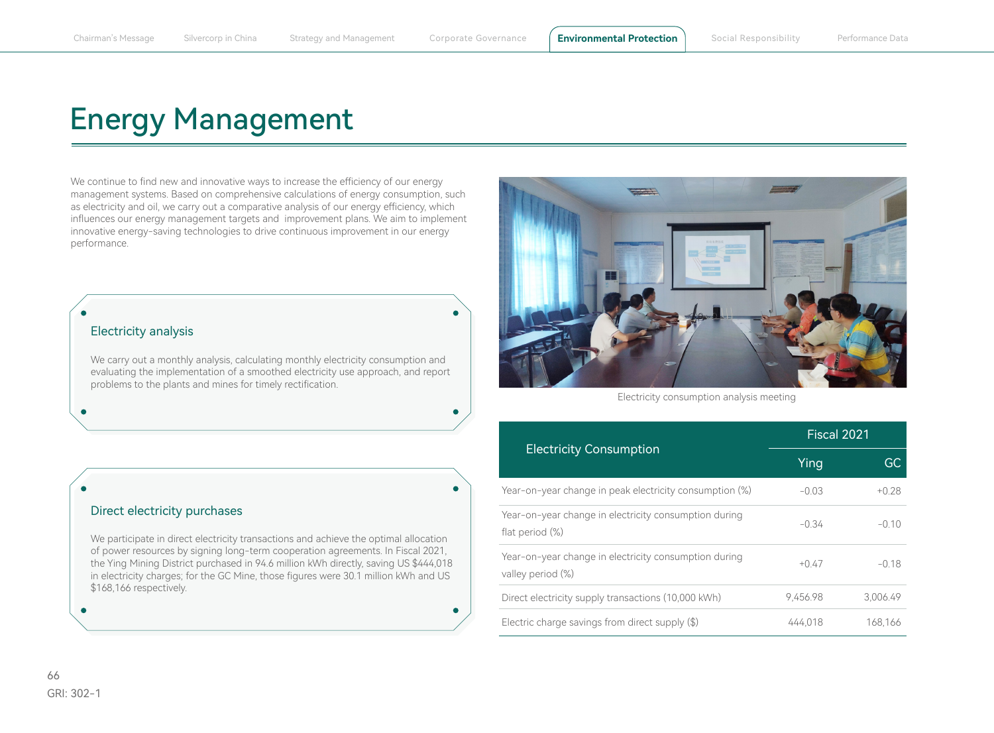## Energy Management

We continue to find new and innovative ways to increase the efficiency of our energy management systems. Based on comprehensive calculations of energy consumption, such as electricity and oil, we carry out a comparative analysis of our energy efficiency, which influences our energy management targets and improvement plans. We aim to implement innovative energy-saving technologies to drive continuous improvement in our energy performance.

## Electricity analysis

We carry out a monthly analysis, calculating monthly electricity consumption and evaluating the implementation of a smoothed electricity use approach, and report problems to the plants and mines for timely rectification.

## Direct electricity purchases

We participate in direct electricity transactions and achieve the optimal allocation of power resources by signing long-term cooperation agreements. In Fiscal 2021, the Ying Mining District purchased in 94.6 million kWh directly, saving US \$444,018 in electricity charges; for the GC Mine, those figures were 30.1 million kWh and US \$168,166 respectively.



Electricity consumption analysis meeting

|                                                                            | Fiscal 2021 |          |
|----------------------------------------------------------------------------|-------------|----------|
| <b>Electricity Consumption</b>                                             | Ying        | GC       |
| Year-on-year change in peak electricity consumption (%)                    | $-0.03$     | $+0.28$  |
| Year-on-year change in electricity consumption during<br>flat period (%)   | $-0.34$     | $-0.10$  |
| Year-on-year change in electricity consumption during<br>valley period (%) | $+0.47$     | $-0.18$  |
| Direct electricity supply transactions (10,000 kWh)                        | 9.456.98    | 3.006.49 |
| Electric charge savings from direct supply (\$)                            | 444.018     | 168,166  |